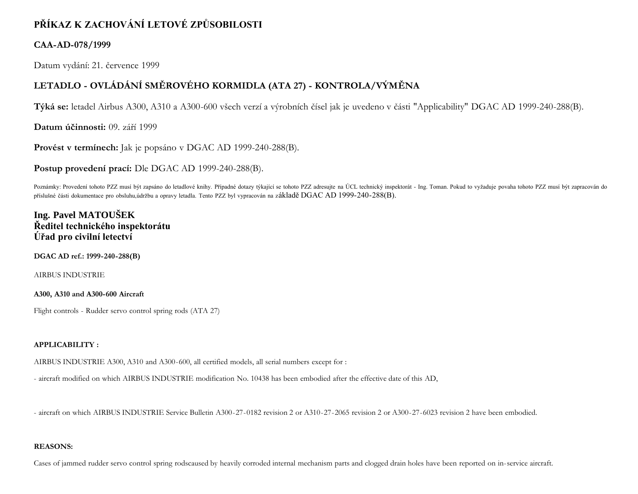# **PŘÍKAZ K ZACHOVÁNÍ LETOVÉ ZPŮSOBILOSTI**

### **CAA-AD-078/1999**

Datum vydání: 21. července 1999

# **LETADLO - OVLÁDÁNÍ SMĚROVÉHO KORMIDLA (ATA 27) - KONTROLA/VÝMĚNA**

**Týká se:** letadel Airbus A300, A310 a A300-600 všech verzí a výrobních čísel jak je uvedeno v části "Applicability" DGAC AD 1999-240-288(B).

**Datum účinnosti:** 09. září 1999

**Provést v termínech:** Jak je popsáno v DGAC AD 1999-240-288(B).

**Postup provedení prací:** Dle DGAC AD 1999-240-288(B).

Poznámky: Provedení tohoto PZZ musí být zapsáno do letadlové knihy. Případné dotazy týkající se tohoto PZZ adresujte na ÚCL technický inspektorát - Ing. Toman. Pokud to vyžaduje povaha tohoto PZZ musí být zapracován do příslušné části dokumentace pro obsluhu,údržbu a opravy letadla. Tento PZZ byl vypracován na základě DGAC AD 1999-240-288(B).

## **Ing. Pavel MATOUŠEK Ředitel technického inspektorátu Úřad pro civilní letectví**

**DGAC AD ref.: 1999-240-288(B)**

AIRBUS INDUSTRIE

### **A300, A310 and A300-600 Aircraft**

Flight controls - Rudder servo control spring rods (ATA 27)

### **APPLICABILITY :**

AIRBUS INDUSTRIE A300, A310 and A300-600, all certified models, all serial numbers except for :

- aircraft modified on which AIRBUS INDUSTRIE modification No. 10438 has been embodied after the effective date of this AD,

- aircraft on which AIRBUS INDUSTRIE Service Bulletin A300-27-0182 revision 2 or A310-27-2065 revision 2 or A300-27-6023 revision 2 have been embodied.

### **REASONS:**

Cases of jammed rudder servo control spring rodscaused by heavily corroded internal mechanism parts and clogged drain holes have been reported on in-service aircraft.